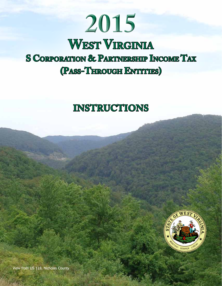# **2015 West Virginia S Corporation & Partnership Income Tax (Pass-Through Entities)**

# **Instructions**



View from US 119, Nicholas County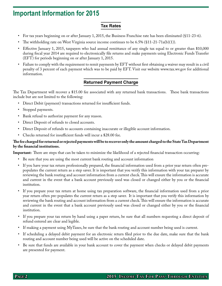# **Important Information for 2015**

# **Tax Rates**

- • For tax years beginning on or after January 1, 2015, the Business Franchise rate has been eliminated (§11-23-6).
- The withholding rate on West Virginia source income continues to be 6.5% (§11-21-71a(b)(1)).
- Effective January 1, 2015, taxpayers who had annual remittance of any single tax equal to or greater than \$10,000 during fiscal year 2014 are required to electronically file returns and make payments using Electronic Funds Transfer (EFT) for periods beginning on or after January 1, 2015.
- Failure to comply with the requirement to remit payments by EFT without first obtaining a waiver may result in a civil penalty of 3 percent of each payment which was to be paid by EFT. Visit our website www.tax.wv.gov for additional information.

# **Returned Payment Charge**

The Tax Department will recover a \$15.00 fee associated with any returned bank transactions. These bank transactions include but are not limited to the following:

- Direct Debit (payment) transactions returned for insufficient funds.
- Stopped payments.
- Bank refusal to authorize payment for any reason.
- Direct Deposit of refunds to closed accounts.
- Direct Deposit of refunds to accounts containing inaccurate or illegible account information.
- Checks returned for insufficient funds will incur a \$28.00 fee.

#### **The fee charged for returned or rejected payments will be to recover only the amount charged to the State Tax Department by the financial institutions.**

**Important:** There are steps that can be taken to minimize the likelihood of a rejected financial transaction occurring:

- • Be sure that you are using the most current bank routing and account information
- If you have your tax return professionally prepared, the financial information used from a prior year return often prepopulates the current return as a step saver. It is important that you verify this information with your tax preparer by reviewing the bank routing and account information from a current check.This will ensure the information is accurate and current in the event that a bank account previously used was closed or changed either by you or the financial institution.
- If you prepare your tax return at home using tax preparation software, the financial information used from a prior year return often pre-populates the current return as a step saver. It is important that you verify this information by reviewing the bank routing and account information from a current check.This will ensure the information is accurate and current in the event that a bank account previously used was closed or changed either by you or the financial institution.
- If you prepare your tax return by hand using a paper return, be sure that all numbers requesting a direct deposit of refund entered are clear and legible.
- If making a payment using MyTaxes, be sure that the bank routing and account number being used is current.
- If scheduling a delayed debit payment for an electronic return filed prior to the due date, make sure that the bank routing and account number being used will be active on the scheduled date.
- Be sure that funds are available in your bank account to cover the payment when checks or delayed debit payments are presented for payment.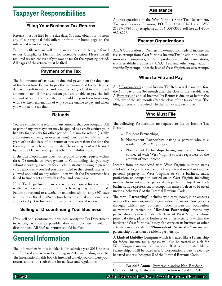# **Taxpayer Responsibilities**

### **Filing Your Business Tax Returns**

Returns must be filed by the due date. You may obtain forms from any of our regional field offices or from our home page on the internet at www.tax.wv.gov.

Failure to file returns will result in your account being referred to our Compliance Division for corrective action. Please file all required tax returns even if you owe no tax for the reporting period. **All pages of the return must be filed**.

### **Payment of the Tax**

The full amount of tax owed is due and payable on the due date of the tax return. Failure to pay the full amount of tax by the due date will result in interest and penalties being added to any unpaid amount of tax. If for any reason you are unable to pay the full amount of tax on the due date, you should file your tax return along with a written explanation of why you are unable to pay and when you will pay the tax due.

# **Refunds**

You are entitled to a refund of any amount that you overpaid. All or part of any overpayment may be applied as a credit against your liability for such tax for other periods. A claim for refund (usually a tax return showing an overpayment) must be filed within three years of the due date of the return or two years from the date the tax was paid, whichever expires later. The overpayment will be used by the Tax Department against other tax liabilities due.

If the Tax Department does not respond to your request within three (3) months on overpayment of Withholding Tax, you may submit in writing a request for an administrative hearing to present your reasons why you feel you are entitled to the refund.Interest is allowed and paid on any refund upon which the Department has failed to timely act and which is final and conclusive.

If the Tax Department denies or reduces a request for a refund, a written request for an administrative hearing may be submitted. Failure to respond to a denial or reduction within sixty (60) days will result in the denial/reduction becoming final and conclusive and not subject to further administrative or judicial review.

# **Selling or Discontinuing Your Business**

If you sell or discontinue your business, notify the Tax Department in writing as soon as possible after your business is sold or discontinued. All final tax returns should be filed.

# **General Information**

The information in this booklet is for calendar year 2015 returns and for fiscal year returns beginning in 2015 and ending in 2016. The information in this book is intended to help you complete your returns and is not a substitute for tax laws and regulations.

#### Address questions to the West Virginia State Tax Department, Taxpayer Services Division, PO Box 3784, Charleston, WV 25337-3784 or by telephone at (304) 558-3333, toll free at 1-800- 982-8297.

**Assistance**

# **Exempt Organizations**

Any S Corporation or Partnership exempt from federal income tax is also exempt from West Virginia Income Tax.In addition, certain insurance companies, certain production credit associations, trusts established under 29 U.S.C. 186, and other organizations specifically exempt under the laws ofWest Virginia are also exempt.

# **When to File and Pay**

An S Corporation's annual Income Tax Return is due on or before the 15th day of the 3rd month after the close of the taxable year. A Partnership's annual Income Tax Return is due on or before the 15th day of the 4th month after the close of the taxable year.\* The filing of returns is required whether or not any tax is due.

# **Who Must File**

The following Partnerships are required to file an Income Tax Return:

- a. Resident Partnerships,
- b. Nonresident Partnerships having a partner who is a resident of West Virginia, or
- c. Nonresident Partnerships having any income from or connected with West Virginia sources regardless of the amount of such income.

Income from or connected with West Virginia is those items attributable to (a) the ownership of any interest in real or tangible personal property in West Virginia; or (b) a business, trade, profession, or occupation carried on in West Virginia including income from intangible personal property employed in such business, trade, profession, or occupation unless it elects to be taxed under subchapter S of the Internal Revenue Code.

The term **"Partnership"** includes syndicates, pools, joint ventures or any other unincorporated organization of two or more persons through which any business, trade, profession, occupation or venture is carried on. **"Resident Partnership"** means any partnership organized under the laws of West Virginia whose principal office, place of business, or other activity is within the borders of West Virginia.It may also carry on its business or other activities in other states. **"Nonresident Partnership"** means any partnership other than a resident partnership.

A **Limited Liability Company** which is treated like a Partnership for federal income tax purposes will also be treated as such for West Virginia income tax purposes. If it is not treated like a Partnership, it will be taxed as a C Corporation unless it elects to be taxed under subchapter S of the Internal Revenue Code.

For 2015 Annual Partnership and/or Non-Resident Composite filers, the due date for the return is April 18, 2016.

### **PAGE 3 2015 INCOME TAX FOR PASS-THROUGH ENTITIES**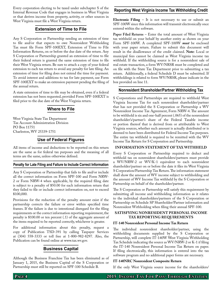Every corporation electing to be taxed under subchapter S of the Internal Revenue Code that engages in business in West Virginia or that derives income from property, activity, or other sources in West Virginia must file a West Virginia return.

### **Extension of Time to File**

Any S Corporation or Partnership needing an extension of time to file and/or that expects to owe Nonresident Withholding Tax must file Form SPF-100EXT, Extension of Time to File Information Returns, on or before the due date of the return. Any S Corporation or Partnership granted an extension of time to file their federal return is granted the same extension of time to file their West Virginia return. Be sure to attach a copy of your federal extension to each tax return to avoid any penalty for late filing. An extension of time for filing does not extend the time for payment. To avoid interest and additions to tax for late payment, use Form SPF-100EXT to make an extension payment pending the filing of the annual return.

A state extension of time to file may be obtained, even if a federal extension has not been requested, provided Form SPF-100EXT is filed prior to the due date of the West Virginia return.

### **Where to File**

West Virginia State Tax Department Tax Account Administration Division PO Box 11751 Charleston,WV 25339-1751

# **Use of Federal Figures**

All items of income and deductions to be reported on this return are the same as for federal tax purposes and the meaning of all terms are the same, unless otherwise defined.

#### **Penalty for Late Filing and Failure to Include Correct Information**

Any S Corporation or Partnership that fails to file and/or include all the correct information on Form SPF-100 and Form NRW-2 or Form NRW-4 when applicable, by the required filing date is subject to a penalty of \$50.00 for each information return that they failed to file or include correct information on, not to exceed \$100,000.

Provisions for the reduction of the penalty amount exist if the partnership corrects the failure or error within specified time frames. If the failure is due to intentional disregard for the filing requirements or the correct information reporting requirement, the penalty is \$100.00 or ten percent (.1) of the aggregate amount of the items required to be reported correctly, whichever is greater.

For additional information about this penalty, request a copy of Publication TSD-391 by calling Taxpayer Services at (304) 558-3333 or toll free at 1-800-982-8297. Also, the Publication can be found online at www.tax.wv.gov.

### **Business Capital**

Although the Business Franchise Tax has been eliminated as of January 1, 2015, the Business Capital of the S Corporation or Partnership must still be reported on SPF-100 Schedule B.

#### **Reporting West Virginia Income Tax Withholding Credit**

**Electronic Filing** – It is not necessary to use or submit an SPF-100W since this information will transmit electronically once entered within the software.

**Paper Filed Returns** – Enter the total amount of West Virginia tax withheld on your behalf by another entity as shown on your Form SPF-100W. A completed SPF-100W *must* be enclosed with your paper return. Failure to submit this document will result in the disallowance of the credit claimed. **Note**: Local or municipal fees cannot be claimed as West Virginia income tax withheld. If the withholding source is for a nonresident sale of real estate transaction, a form WV/NRSR must be completed and on file with the State Tax Department prior to submitting a tax return. Additionally, a federal Schedule D must be submitted. If withholdings is related to form WV/NRSR, please indicate in the box provided on line 11.

#### **Nonresident Shareholder/Partner Withholding Tax**

S Corporations and Partnerships are required to withhold West Virginia Income Tax for each nonresident shareholder/partner that has not provided the S Corporation or Partnership a WV Nonresident Income Tax Agreement, Form NRW-4.The amount to be withhold is six and one-half percent (.065) of the nonresident shareholder's/partner's share of the Federal Taxable income or portion thereof that is derived from or attributable to West Virginia sources, whether such amount is actually distributed or is deemed to have been distributed for Federal Income Tax purposes. The entire tax withheld is required to be remitted with the WV Income Tax Return for S Corporation and Partnership.

#### **Information Statement of Tax Withheld**

Every S Corporation or Partnership required to deduct and withhold tax on nonresident shareholders/partners must provide a WV/NRW-2 or WV/K-1 equivalent to each nonresident shareholder/partner on or before the date it files its West Virginia S Corporation/Partnership Tax Return.The information statement shall show the amount of WV income subject to withholding and the amount of WV Income Tax withheld by the S Corporation or Partnership on behalf of the shareholder/partner.

The S Corporation or Partnership will satisfy this requirement by submitting all income and withholding information as it relates to the individual shareholders/partners of the S Corporation or Partnership on Schedule SP Shareholder/Partner information and Nonresident Withholding when filing their annual SPF-100.

#### **Satisfying nonresident personal income tax reporting requirements**

#### **IT-140 Nonresident Personal Income Tax Return**

The individual nonresident shareholder/partner, using the withholding documents supplied by the S Corporation or Partnership, will complete IT-140W West Virginia Withholding Tax Schedule indicating the source as WV/NRW-2 or K-1 if filing the IT-140 Nonresident Personal Income Tax Return on paper. If filing electronically, this information is entered into the tax software program and no additional paper forms are necessary.

#### **IT-140NRC Nonresident Composite Return**

If the only West Virginia source income for the shareholders/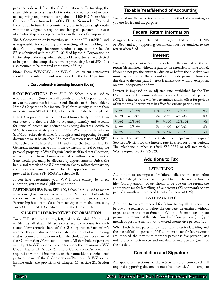partners is derived from the S Corporation or Partnership, the shareholders/partners may elect to satisfy the nonresident income tax reporting requirements using the IT-140NRC Nonresident Composite Tax return in lieu of the IT-140 Nonresident Personal Income Tax Return.This permits the group to file as a single entity with the only signature requirements being of a partner in the case of a partnership or a corporate officer in the case of a corporation.

The S Corporation or Partnership will file the IT-140NRC and is responsible for collecting and remitting all withholding tax due. Filing a composite return requires a copy of the Schedule SP as submitted with the SPF-100 filed by the S Corporation or Partnership indicating which shareholders/partners have elected to be part of the composite return. A processing fee of \$50.00 is also required to be remitted at the time of filing.

**Note:** Form WV/NRW-2 or WV/K-1 equivalent statements should not be submitted unless requested by the Tax Department.

#### **S Corporation/Partnership Income (Loss)**

**S CORPORATIONS:** Form SPF-100, Schedule A is used to report all income (loss) from all activity of the S Corporation, but only to the extent that it is taxable and allocable to the shareholders. If the S Corporation has income (loss) from activity in more than one state, Form SPF-100APT, Schedule B must also be completed.

If an S Corporation has income (loss) from activity in more than one state, and they are able to separately identify and account for items of income and deductions as being directly allocable to WV, they may separately account for the WV business activity on SPF-100, Schedule A, lines 1 through 5 and supporting Federal documents must be attached. If direct allocation is used add SPF-100, Schedule A, lines 8 and 11, and enter the total on line 12. Generally, income derived from the ownership of real or tangible personal property in West Virginia lends itself to direct allocation, whereas income from a business carried on within and without the State would preferably be allocated by apportionment. Unless the books and records of the S Corporation clearly reflect that portion, the allocation must be made by the apportionment formula provided in Form SPF-100APT, Schedule B.

If you have determined your WV Income entirely by direct allocation, you are not eligible to apportion.

**PARTNERSHIPS:** Form SPF-100, Schedule A is used to report all income (loss) from all activity of the Partnership, but only to the extent that it is taxable and allocable to the partners. If the Partnership has income (loss) from activity in more than one state, Form SPF-100APT, Schedule B must also be completed.

#### **Shareholder/Partner Information**

Form SPF-100, lines 1 through 8, and the Schedule SP are used to identify all shareholders/partners and to account for each shareholder/partner's share of the S Corporation/Partnership's income.They are also used to calculate the amount of withholding that is required on the nonresident shareholder/partner's share of the S Corporations/Partnership's income. All shareholders/partners are subject to WV personal income tax under the provisions of WV Code Chapter 11, Article 21. The S Corporation/Partnership is required to withhold income tax on the nonresident shareholders/ partner's share of the S Corporations/Partnership's WV source income under the provisions of Chapter 11, Article 21, Section 71a.

#### **Taxable Year/Method of Accounting**

You must use the same taxable year and method of accounting as you use for federal tax purposes.

#### **Federal Return Information**

A signed, true copy of the first five pages of Federal Form 1120S or 1065, and any supporting documents must be attached to the return when filed.

#### **Interest**

You must pay the entire tax due on or before the due date of the tax return (determined without regard for an extension of time to file). If you do not pay the entire tax due on or before the due date, you must pay interest on the amount of the underpayment from the due date to the date paid. Interest is always due, without exception, on any underpayment of tax.

Interest is imposed at an adjusted rate established by the Tax Commissioner.The annual rate will never be less than eight percent (.08).The interest rate will be determined and in effect for periods of six months.Interest rates in effect for various periods are:

| $7/1/90 - 12/31/91$ | $10\%$ 1/1/98 - 12/31/98 | 9%   |
|---------------------|--------------------------|------|
| $1/1/91 - 6/30/92$  | $9\%$ 1/1/99 - 6/30/00   | 8%   |
| $7/1/92 - 12/31/95$ | $8\%$ 7/1/00 - 12/31/01  | 9%   |
| $1/1/96 - 12/31/96$ | $9\%$ 1/1/02 - 6/30/02   | 8%   |
| $1/1/97 - 12/31/97$ | $8\%$ 7/1/02 - 12/31/15  | 9.5% |

Contact the West Virginia State Tax Department Taxpayer Services Division for the interest rate in effect for other periods. The telephone number is (304) 558-3333 or toll free within West Virginia 1-800-982-8297.

#### **Additions to Tax**

#### **Late Filing**

Additions to tax are imposed for failure to file a return on or before the due date (determined with regard to an extension of time to file). On any amount of tax shown to be due on the return, the additions to tax for late filing is five percent (.05) per month or any part of a month not to exceed twenty-five percent (.25).

#### **Late Payment**

Additions to tax are imposed for failure to pay all tax shown to be due on a return on or before the due date (determined without regard to an extension of time to file).The additions to tax for late payment is imposed at the rate of one half of one percent (.005) per month or part of a month not to exceed twenty-five percent (.25).

When both the five percent (.05) additions to tax for late filing and the one half of one percent (.005) additions to tax for late payment are imposed, the maximum monthly percent is five percent (.05) not to exceed forty-seven and one-half of one percent (.475) of the tax due.

### **Completion and Signature**

All appropriate sections of the return must be completed. All required supporting documents must be attached. An incomplete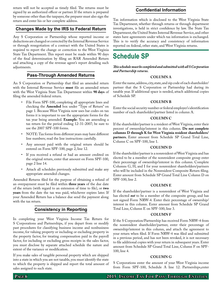return will not be accepted as timely filed. The returns must be signed by an authorized officer or partner.If the return is prepared by someone other than the taxpayer, the preparer must also sign the return and enter his or her complete address.

### **Changes Made by the IRS to Federal Return**

Any S Corporation or Partnership whose reported income or deductions are changed or corrected by the Internal Revenue Service or through renegotiation of a contract with the United States is required to report the change or correction to the West Virginia State Tax Department. This report must be made within 90 days of the final determination by filing an RAR Amended Return and attaching a copy of the revenue agent's report detailing such adjustments.

### **Pass-Through Amended Returns**

An S Corporation or Partnership that filed an amended return with the Internal Revenue Service **must** file an amended return with the West Virginia State Tax Department within **90 days** of filing the amended federal return.

- File Form SPF-100, completing all appropriate lines and checking the **Amended** box under "Type of Return" on page 1. Because West Virginia now uses bar codes on tax forms it is important to use the appropriate forms for the tax year being amended. **Example**: You are amending a tax return for the period ending 12-31-2007; be sure to use the 2007 SPF-100 forms.
- NOTE: Tax forms from different years may have different line numbers; read the line instructions carefully.
- • Any amount paid with the original return should be entered on Form SPF-100, page 2, line 12.
- • If you received a refund or had an amount credited on the original return, enter that amount on Form SPF-100, page 2 line 14.
- • Attach all schedules previously submitted and make any appropriate amended changes.

Amended Returns filed for the purpose of obtaining a refund of an overpayment must be filed within **three years** of the due date of the return (with regard to an extension of time to file), or **two years** from the date the tax was paid, whichever expires later. If your Amended Return has a balance due send the payment along with the tax return.

# **Consistency in Reporting**

In completing your West Virginia Income Tax Return for S Corporations and Partnerships, if you depart from or modify past procedures for classifying business income and nonbusiness income, for valuing property or including or excluding property in the property factor, for treating compensation paid in the payroll factor, for including or excluding gross receipts in the sales factor, you must disclose by separate attached schedule the nature and extent of the variance or modification.

If you make sales of tangible personal property which are shipped into a state in which you are not taxable, you must identify the state to which the property is shipped and report the total amount of sales assigned to such state.

### **Confidential Information**

Tax information which is disclosed to the West Virginia State Tax Department, whether through returns or through department investigations, is held in strict confidence by law. The State Tax Department, the United States Internal Revenue Service, and other states have agreements under which tax information is exchanged. This is to verify the accuracy and consistency of information reported on federal, other state, and West Virginia returns.

# **Schedule SP**

*This schedule must be completed and submitted with all S Corporation and Partnership returns.*

#### **Column A**

Enter the name, address, city, state, and zip code of each shareholder/ partner that the S Corporation or Partnership had during its taxable year. If additional space is needed, attach additional copies of Schedule SP.

#### **Column B**

Enter the social security number or federal employer's identification number of each shareholder/partner listed in column A.

#### **Column C**

If the shareholder/partner is a resident of West Virginia, enter their percent of ownership/interest in this column. **Do not complete columns D through K for West Virginia resident shareholders/ partners.** Enter amount from Schedule SP Grand Total Line, Column C on SPF-100, line 1.

#### **Column D**

If the shareholder/partner is a nonresident ofWest Virginia and has elected to be a member of the nonresident composite group enter their percentage of ownership/interest in this column. Complete Columns G, H, and I for your nonresident shareholders/partners who will be included in the Nonresident Composite Return filing. Enter amount from Schedule SP Grand Total Line Column D on SPF-100, line 2.

#### **Column E**

If the shareholder/partner is a nonresident of West Virginia and has elected *not* to be a member of the composite group, and has not signed Form NRW-4. Enter their percentage of ownership/ interest in this column. Enter amount from Schedule SP Grand Total Line, Column E on SPF-100, line 3.

#### **Column F**

If the S Corporation/Partnership has received Form NRW-4 from the nonresident shareholder/partner, enter their percentage of ownership/interest in this column, and attach the agreement to your return when filed. If Form NRW-4 was filed and submitted in a previous period, and has not been revoked, it is not necessary to file additional copies with your return in subsequent years.Enter amount from Schedule SP Grand Total Line, Column F on SPF-100, line 4.

#### **Column G**

S Corporations enter the amount of your West Virginia income from Form SPF-100, Schedule A line 12. Partnerships,enter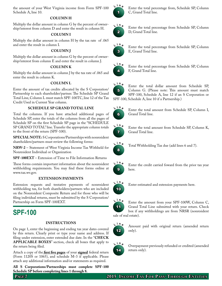the amount of your West Virginia income from Form SPF-100 Schedule A, line 10.

#### **Column H**

Multiply the dollar amount in column G by the percent of ownership/interest from column D and enter the result in column H.

#### **Column I**

Multiply the dollar amount in column H by the tax rate of .065 and enter the result in column I.

#### **Column J**

Multiply the dollar amount in column G by the percent of ownership/interest from column E and enter the result in column J.

#### **Column k**

Multiply the dollar amount in column J by the tax rate of .065 and enter the result in column K.

#### **Column l**

Enter the amount of tax credits allocated by the S Corporation/ Partnership to each shareholder/partner. The Schedule SP Grand Total Line, Column L must match SPF-100TC, line 12 of the Tax Credit Used in Current Year column.

#### **Schedule SP grand total line**

Total the columns. If you have attached additional pages of Schedule SP, enter the totals of the columns from all the pages of Schedule SP on the first Schedule SP page in the "SCHEDULE SP GRAND TOTAL" line. Transfer the appropriate column totals to the front of the return (SPF-100).

**SPECIAL NOTE:** S Corporations/Partnershipswith nonresident shareholders/partners must review the following forms:

**NRW-2** – Statement of West Virginia Income Tax Withheld for Nonresident Individual or Organization

**SPF-100EXT** – Extension of Time to File Information Returns

These forms contain important information about the nonresident withholding requirements. You may find these forms online at www.tax.wv.gov.

#### **Extension Payments**

Extension requests and tentative payments of nonresident withholding tax, for both shareholders/partners who are included on the Nonresident Composite Return and for those who will be filing individual returns, must be submitted by the S Corporation/ Partnership on Form SPF-100EXT.

# **SPF-100**

#### **Instructions**

On page 1, enter the beginning and ending tax year dates covered by this return. Clearly print or type your name and address. If filing under extension, enter extended due date. In the "CHECK **applicable boxes**" section, check all boxes that apply to the return being filed.

Attach a copy of the **first five pages** of your **signed** federal return (Form 1120S or 1065), and schedule M-3 if applicable. Please attach any additional information and/or statements as required.

**All S Corporations/Partnerships must complete SPF-100 Schedule SP before completing lines 1 through 8.**



Enter the total percentage from, Schedule SP, Column C, Grand Total line.



Enter the total percentage from Schedule SP, Column D, Grand Total line.



Enter the total percentage from Schedule SP, Column E, Grand Total line.



Enter the total percentage from Schedule SP, Column F, Grand Total line.

5  $\sqrt{ln}$ e

Enter the total dollar amount from Schedule SP, Column G. (Please note: This amount must match SPF-100, Schedule A, line 12 if an S Corporation or SPF-100, Schedule A, line 10 if a Partnership.)



Enter the total amount from Schedule SP, Column I, Grand Total line.



Enter the total amount from Schedule SP, Column K, Grand Total line.



Total Withholding Tax due (add lines 6 and 7).



Enter the credit carried foward from the prior tax year here.



Enter estimated and extension payments here.



Enter the amount from your SPF-100W, Column C, Grand Total Line submitted with your return. Check box if any withholdings are from NRSR (nonresident sale of real estate).



Amount paid with original return (amended return only).



 **<sup>i</sup> <sup>n</sup> <sup>e</sup>** Overpayment previously refunded or credited (amended return only).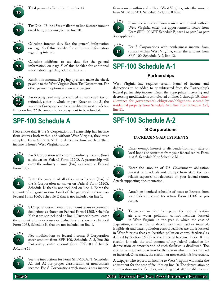

Total payments. Line 13 minus line 14.



Tax Due – If line 15 is smaller than line 8, enter amount owed here, otherwise, skip to line 20.



 **<sup>i</sup> <sup>n</sup> <sup>e</sup>** Calculate interest due. See the general information on page 5 of this booklet for additional information regarding interest.



 **<sup>i</sup> <sup>n</sup> <sup>e</sup>** Calculate additions to tax due. See the general information on page 5 of this booklet for additional information regarding additions to tax.



 **<sup>i</sup> <sup>n</sup> <sup>e</sup>** Remit this amount. If paying by check, make the check payable to the West Virginia State Tax Department.For other payment options see www.tax.wv.gov.



An overpayment may be credited to next year's tax or refunded, either in whole or part. Enter on line 21 the amount of overpayment to be credited to next year's tax. Enter on line 22 the amount of overpayment to be refunded.

# **SPF-100 Schedule A**

Please note that if the S Corporation or Partnership has income from sources both within and without West Virginia, they must complete Form SPF-100APT to determine how much of their income is from a West Virginia source.



 **<sup>i</sup> <sup>n</sup> <sup>e</sup>** An <sup>S</sup> Corporation will enter the ordinary income (loss) as shown on Federal Form 1120S. A partnership will enter the ordinary income (loss) as shown on Federal Form 1065.



Enter the amount of all other gross income (loss) of the S Corporation as shown on Federal Form 1120S, Schedule K that is not included on line 1. Enter the amount of all gross income (loss) of the partnership shown on





 **<sup>i</sup> <sup>n</sup> <sup>e</sup>** <sup>S</sup> Corporations will enter the amount of any expenses or deductions as shown on Federal Form 1120S, Schedule K, that are not included on line 1. Partnerships will enter

the amount of any expenses or deductions as shown on Federal Form 1065, Schedule K, that are not included on line 1.



Net modifications to federal income: S Corporation enter amount from SPF-100, Schedule A-2, line 26; Partnership enter amount from SPF-100, Schedule

A-1, line 13.



**See the instructions for Form SPF-100APT, Schedules** A1 and A2 for proper classification of nonbusiness income. For S Corporations with nonbusiness income from sources within and without West Virginia, enter the amount from SPF-100APT, Schedule A-1, line 8 here.



If income is derived from sources within and without West Virginia, enter the apportionment factor from Form SPF-100APT, Schedule B, part 1 or part 2 or part 3 as applicable.



For S Corporations with nonbusiness income from sources within West Virginia, enter the amount from SPF-100, Schedule A-2, line 12.

# **SPF-100 Schedule A-1**

# **Partnerships**

West Virginia law requires certain items of income and deductions to be added to or subtracted from the Partnership's federal partnership income. Enter the appropriate increasing and decreasing modifications as indicated on lines 1 through 10. Enter allowance for governmental obligations/obligations secured by residential property from Schedule A-3, line 9 on Schedule A-1, line 11.

# **SPF-100 Schedule A-2**

**S Corporations**

### **Increasing Adjustments**



Enter exempt interest or dividends from any state or local bonds or securities from your federal return Form 1120S, Schedule K or Schedule M-1.



Enter the amount of US Government obligation interest or dividends not exempt from state tax, less related expenses not deducted on your federal return. Attach supporting documentation.



Attach an itemized schedule of taxes or licenses from your federal income tax return Form 1120S or pro forma.



Taxpayers can elect to expense the cost of certain air and water pollution control facilities located in West Virginia in the year in which the cost of

acquisition, construction, or development was paid or incurred. Eligible air and water pollution control facilities are those located in West Virginia that are "certified pollution control facilities" as defined by Section 169(d) of the Internal Revenue Code. If this election is made, the total amount of any federal deduction for depreciation or amortization of such facilities is disallowed. The election is made on the return for the year in which the cost is paid or incurred. Once made, the election or non-election is irrevocable.

A taxpayer who reports all income to West Virginia will make the adjustment for the cost of facilities on line 20.The depreciation or amortization on the facilities, including that attributable to cost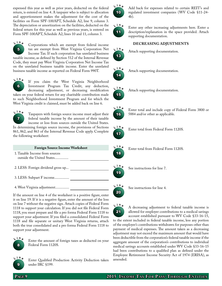expensed this year as well as prior years, deducted on the federal return, is entered on line 4. A taxpayer who is subject to allocation and apportionment makes the adjustment for the cost of the facilities on Form SPF-100APT, Schedule A2, line 9, column 3. The depreciation or amortization on the facilities, deducted on the federal return for this year as well as previous years, is entered on Form SPF-100APT, Schedule A2, lines 10 and 11, column 3.



 **<sup>i</sup> <sup>n</sup> <sup>e</sup>** Corporations which are exempt from federal income tax are exempt from West Virginia Corporation Net Income Tax. If such corporation has unrelated business

taxable income, as defined by Section 512 of the Internal Revenue Code, they must pay West Virginia Corporation Net Income Tax on the unrelated business taxable income. Enter the unrelated business taxable income as reported on Federal Form 990T.



If you claim the West Virginia Neighborhood Investment Program Tax Credit, any deduction, decreasing adjustment, or decreasing modification

taken on your federal return for any charitable contribution made to such Neighborhood Investment Program and for which the West Virginia credit is claimed, must be added back on line 6.



 **<sup>i</sup> <sup>n</sup> <sup>e</sup>** Taxpayers with foreign source income must adjust their federal taxable income by the amount of their taxable income or loss from sources outside the United States.

In determining foreign source income, the provisions of Sections 861, 862, and 863 of the Internal Revenue Code apply. Complete the following worksheet:

| <b>Foreign Source Income Worksheet</b>                      |  |  |  |  |
|-------------------------------------------------------------|--|--|--|--|
| 1. Taxable Income from sources<br>outside the United States |  |  |  |  |
| 2. LESS: Foreign dividend gross up                          |  |  |  |  |
| 3. LESS: Subpart F income                                   |  |  |  |  |
| 4. West Virginia adjustment                                 |  |  |  |  |

If the amount on line 4 of the worksheet is a positive figure, enter it on line 19. If it is a negative figure, enter the amount of the loss on line 7 without the negative sign. Attach copies of Federal Form 1118 to support your calculation. If you did not file Federal Form 1118, you must prepare and file a pro forma Federal Form 1118 to support your adjustment. If you filed a consolidated Federal Form 1118 and file separate or unitary West Virginia returns, attach both the true consolidated and a pro forma Federal Form 1118 to support your adjustment.



Enter the amount of foreign taxes as deducted on your Federal Form 1120S.



 **<sup>i</sup> <sup>n</sup> <sup>e</sup>** Enter Qualified Production Activity Deduction taken under IRC §199.



 **<sup>i</sup> <sup>n</sup> <sup>e</sup>** Add back for expenses related to certain REIT's and regulated investment companies (WV Code §11-24- 4b).



Enter any other increasing adjustments here. Enter a description/explanation in the space provided. Attach supporting documentation.

### **Decreasing Adjustments**



**<sup>i</sup> <sup>n</sup> <sup>e</sup>** Attach supporting documentation.



**<sup>i</sup> <sup>n</sup> <sup>e</sup>** Attach supporting documentation.



**<sup>i</sup> <sup>n</sup> <sup>e</sup>** Attach supporting documentation.



Enter total and include copy of Federal Form 3800 or 5884 and/or other as applicable.



Enter total from Federal Form 1120S.



20

**<sup>i</sup> <sup>n</sup> <sup>e</sup>** See instructions for line 4.

21  $\frac{\ln n}{2}$  **<sup>i</sup> <sup>n</sup> <sup>e</sup>** <sup>A</sup> decreasing adjustment to federal taxable income is allowed for employer contributions to a medical savings account established pursuant to WV Code §33-16-15, to the extent included in federal taxable income, less any portion of the employer's contributions withdrawn for purposes other than payment of medical expenses. The amount taken as a decreasing adjustment may not exceed the maximum amount that would have been deductible from the corporation's federal taxable income if the aggregate amount of the corporation's contributions to individual medical savings accounts established under WV Code §33-16-15 had been contributions to a qualified plan as defined under the Employee Retirement Income Security Act of 1974 (ERISA), as amended.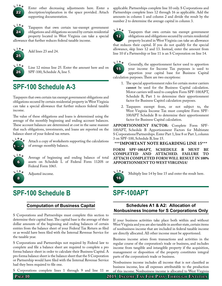

Enter other decreasing adjustments here. Enter a description/explanation in the space provided. Attach supporting documentation.



Taxpayers that own certain tax-exempt government obligations and obligations secured by certain residential property located in West Virginia can take a special allowance that further reduces federal taxable income.



**<sup>i</sup> <sup>n</sup> <sup>e</sup>** Add lines <sup>23</sup> and 24.



Line 12 minus line 25. Enter the amount here and on SPF-100, Schedule A, line 5.

# **SPF-100 Schedule A-3**

Taxpayers that own certain tax exempt government obligations and obligations secured by certain residential property in West Virginia can take a special allowance that further reduces federal taxable income.

The value of these obligations and loans is determined using the average of the monthly beginning and ending account balances. These account balances are determined at cost in the same manner that such obligations, investments, and loans are reported on the balance sheet of your federal tax return.



Attach a copy of worksheets supporting the calculations of average monthly balance.



Average of beginning and ending balance of total assets on Schedule L of Federal Form 1120S or Federal Form 1065.



**<sup>i</sup> <sup>n</sup> <sup>e</sup>** Adjusted income.

# **SPF-100 Schedule B**

# **Computation of Business Capital**

S Corporations and Partnerships must complete this section to determine their capital base.The capital base is the average of their dollar amounts of the beginning and ending balances of certain entries from the balance sheet of your Federal Tax Return as filed or as would have been filed with the Internal Revenue Service for the taxable year.

S Corporations and Partnerships not required by Federal law to complete and file a balance sheet are required to complete a pro forma balance sheet in order to calculate their Business Capital. A pro forma balance sheet is the balance sheet that the S Corporation or Partnership would have filed with the Internal Revenue Service had they been required to file one.

S Corporations complete lines 1 through 9 and line 11 as

applicable. Partnerships complete line 10 only. S Corporations and Partnerships complete lines 12 through 16 as applicable. Add the amounts in column 1 and column 2 and divide the result by the number 2 to determine the average capital in column 3.



Taxpayers that own certain tax exempt government obligations and obligations secured by certain residential property located in West Virginia can take an allowance

that reduces their capital. If you do not qualify for the special allowance, skip lines 12 and 13. Instead, enter the amount from line 10 if a Partnership or line 11 is an S Corporation on line 14.



 **<sup>i</sup> <sup>n</sup> <sup>e</sup>** Generally, the apportionment factor used to apportion your income for Income Tax purposes is used to apportion your capital base for Business Capital calculation purposes.There are two exceptions:

- 1. The special apportionment rules for certain motor carriers **cannot** be used for the Business Capital calculation. Motor carriers will need to complete Form SPF-100APT, Schedule B, Part 1 to determine their apportionment factor for Business Capitol calculation purposes.
- 2. Taxpayers exempt from, or not subject to, the West Virginia Income Tax must complete Form SPF-100APT Schedule B to determine their apportionment factor for Business Capital calculation.

**Apportionment factor:** Complete Form SPF-100APT, Schedule B Apportionment Factors for Multistate S Corporations/Partnerships.Enter Part 1, line 8 or Part 3, column 3 on SPF-100, Schedule B, line 15.

**\*\*\*Important note regarding line 15\*\*\***

**Form SPF-100APT, schedule b must be completed and attached. failure to attach completed form will result in 100% apportionment to West Virginia!**



**<sup>i</sup> <sup>n</sup> <sup>e</sup>** Multiply line <sup>14</sup> by line <sup>15</sup> and enter the result here.

# **SPF-100APT**

# **Schedules A1 & A2: Allocation of Nonbusiness Income for S Corporations Only**

If your business activities take place both within and without West Virginia and you are also taxable in another state, certain items of nonbusiness income that are included in federal taxable income are directly allocated. All other income must be apportioned.

Business income arises from transactions and activities in the regular course of the corporation's trade or business, and includes income from tangible and intangible property if the acquisition, management or disposition of the property constitutes integral parts of the corporation's trade or business.

Nonbusiness income includes all income that is not classified as business income, less all expenses attributable to the production of this income. Nonbusiness income is allocated to West Virginia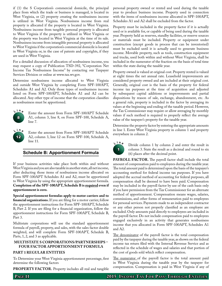if (1) the S Corporation's commercial domicile, the principal place from which the trade or business is managed, is located in West Virginia, or (2) property creating the nonbusiness income is utilized in West Virginia. Nonbusiness income from real property is allocated if the property is located in West Virginia. Nonbusiness income from tangible personal property is allocated to West Virginia if the property is utilized in West Virginia or the property was located in West Virginia at the time of its sale. Nonbusiness income from intangible personal property is allocated toWest Virginia if the corporation's commercial domicile is located in West Virginia or, in the case of patents and copyrights, if they are used in West Virginia.

For a detailed discussion of allocation of nonbusiness income, you may request a copy of Publication TSD-392, "Corporation Net Income Tax Nonbusiness Income" by contacting our Taxpayer Services Division or online at www.tax.wv.gov.

Determine nonbusiness income allocated to West Virginia and outside West Virginia by completing Form SPF-100APT, Schedules A1 and A2. Only those types of nonbusiness income listed on Form SPF-100APT, Schedules A1 and A2 can be allocated. Any other type of income that the corporation classifies as nonbusiness must be apportioned.



12  $\sqrt{ln}$ e

Enter the amount from Form SPF-100APT Schedule A1, column 3, line 8, on Form SPF-100, Schedule A, line 7.

Enter the amount from Form SPF-100APT Schedule A2, column 3, line 12 on Form SPF-100, Schedule A, line 11.

### **Schedule B: Apportionment Formula**

If your business activities take place both within and without West Virginia and you are also taxable in another state, all net income, after deducting those items of nonbusiness income allocated on Form SPF-100APT Schedules A1 and A2, must be apportioned to West Virginia by using the appropriate apportionment formula. **Completion of the SPF-100APT, Schedule B is required even if apportionment is zero.**

**Special apportionment formulas apply to motor carriers and to**  financial organizations. If you are filing for a motor carrier, follow the apportionment instructions for Form SPF-100APT, Schedule B, Part 2. If you are filing for a financial organization, follow the apportionment instructions for Form SPF-100APT, Schedule B, Part 3.

Multistate corporations will use the standard apportionment formula of payroll, property, and sales, with the sales factor double weighted, and will complete Form SPF-100APT, Schedule B, Parts, 1, 2, and 3 as applicable.

#### **Multistate S corporations/partnerships – four factor apportionment formula**

#### **Part 1 regular entities**

To Determine your West Virginia apportionment percentage, first determine the following factors

PROPERTY FACTOR. Property includes all real and tangible

personal property owned or rented and used during the taxable year to produce business income. Property used in connection with the items of nonbusiness income allocated in SPF-100APT, Schedules A1 and A2 shall be excluded from the factor.

Property must be included in the property factor if it is actually used or is available for, or capable of being used during the taxable year. Property held as reserves, standby facilities, or reserve sources or materials must be included. Property or equipment under construction (except goods in process that can be inventoried) must be excluded until it is actually used to generate business income. Movable property, such as tools, construction equipment and trucks, used both within and without West Virginia, shall be included in the numerator of the fraction on the basis of total time within the state during the taxable year.

Property owned is valued at original cost. Property rented is valued at eight times the net annual rate. Leasehold improvements are considered property owned and are included at their original cost. Generally, original cost is the basis of the property for federal income tax purposes at the time of acquisition and adjusted by subsequent capital additions or improvements and partial dispositions by reason of sale, exchange, abandonment, etc. As a general rule, property is included in the factor by averaging its values at the beginning and ending of the taxable period. However, the Tax Commissioner may require or allow averaging by monthly values if such method is required to properly reflect the average value of the taxpayer's property for the taxable year.

Determine the property factor by entering the appropriate amounts in line 1. Enter West Virginia property in column 1 and property everywhere in column 2.



Divide column 1 by column 2 and enter the result in column 3. State the result as a decimal and round to six (6) places after the decimal point.

**PAYROLL FACTOR.** The payroll factor shall include the total amount of compensation paid to employees during the taxable year. The total amount paid is determined upon the basis of the taxpayer's accounting method for federal income tax purposes. If you have adopted the accrual method of accounting for federal purposes, all compensation shall be deemed to have been paid. Compensation may be included in the payroll factor by use of the cash basis only if you have permission from the Tax Commissioner for an alternate method of apportionment. Compensation means wages, salaries, commissions, and other forms of remuneration paid to employees for personal services.Payments made to an independent contractor or any other person not properly classified as an employee are excluded. Only amounts paid directly to employees are included in the payroll factor. Do not include compensation paid to employees engaged exclusively in an activity that generates nonbusiness income that you allocated in Form SPF-100APT, Schedules A1 and A2.

The denominator of the payroll factor is the total compensation paid by the taxpayer during the taxable year, as shown on the federal income tax return filed with the Internal Revenue Service and as reflected in the schedule of wages and salaries and that portion of the cost of goods sold which reflect compensation.

The numerator of the payroll factor is the total amount paid in West Virginia during the taxable year by the taxpayer for compensation. Compensation is paid in West Virginia if any of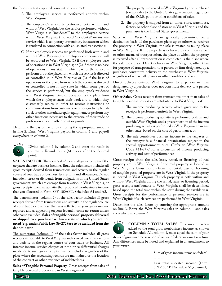the following tests, applied consecutively, are met:

- A. The employee's service is performed entirely within West Virginia;
- B. The employee's service is performed both within and without West Virginia but the service performed without West Virginia is "incidental" to the employee's service within West Virginia (the word "incidental" means any service which is temporary or transitory in nature or which is rendered in connection with an isolated transaction);
- C. If the employee's services are performed both within and without West Virginia, the employee's compensation will be attributed to West Virginia (1) if the employee's base of operations is in West Virginia; or (2) if there is no base of operations in any state in which part of the service is performed,but the place from which the service is directed or controlled is in West Virginia; or (3) if the base of operations or the place from which the service is directed or controlled is not in any state in which some part of the service is performed, but the employee's residence is in West Virginia. Base of operation is the place from which the employee starts their work and to which they customarily return in order to receive instructions or communications from customers or others, or to replenish stock or other materials, repair equipment, or perform any other functions necessary to the exercise of their trade or profession at some other point or points.

Determine the payroll factor by entering the appropriate amounts in line 2. Enter West Virginia payroll in column 1 and payroll everywhere in column 2.

2  $L^{\text{in}}$ e

Divide column 1 by column 2 and enter the result in column 3. Round to six (6) places after the decimal point.

**SALES FACTOR.** The term "sales" means all gross receipts of the taxpayer that are business income. Thus, the sales factor includes all gross receipts derived from transactions and activity in the regular course of your trade or business,less returns and allowances.Do not include interest or dividends from obligations of the United States government, which are exempt from taxation in West Virginia, or gross receipts from an activity that produced nonbusiness income that you allocated in Form SPF-100APT, Schedules A1 and A2.

The denominator (column 2) of the sales factor includes all gross receipts derived from transactions and activity in the regular course of your trade or business that was reflected in your gross income reported and as appearing on your federal income tax return unless otherwise excluded. **Sales of tangible personal property delivered or shipped to a purchaser within a state in which you are not taxed (e.g. under Public Law 86-272) are to be excluded from the denominator.**

The numerator (column 1) of the sales factor includes all gross receipts attributable toWest Virginia and derived from transactions and activity in the regular course of your trade or business. All interest income, service charges or time-price differential charges incidental to such gross receipts must be included regardless of the place where the accounting records are maintained or the location of the contract or other evidence of indebtedness.

**Sales of Tangible Personal Property.** Gross receipts from sales of tangible personal property are in West Virginia if:

- 1. The property is received in West Virginia by the purchaser (except sales to the United States government) regardless of the F.O.B. point or other conditions of sales.
- 2. The property is shipped from an office, store, warehouse, factory or other place of storage in West Virginia and the purchaser is the United States government.

Sales within West Virginia are generally determined on a destination basis. If the purchaser picks up or otherwise receives the property in West Virginia, the sale is treated as taking place in West Virginia. If the property is delivered by common carrier or other means of transportation, the place at which the property is received after all transportation is completed is the place where the sale took place. Direct delivery in West Virginia, other than for purpose of transportation, to a person or firm designated by a purchaser, constitutes delivery to the purchaser in West Virginia regardless of where title passes or other conditions of sale.

Direct delivery outside West Virginia to a person or firm designated by a purchaser does not constitute delivery to a person in West Virginia.

**Other Sales.** Gross receipts from transactions other than sales of tangible personal property are attributable to West Virginia if:

- 1. The income producing activity which gives rise to the receipts is performed entirely in West Virginia;
- 2. The income producing activity is performed both in and outside West Virginia and a greater portion of the income producing activity is performed in West Virginia than any other state, based on the cost of performance; or
- 3. The sale constitutes business income to the taxpayer or the taxpayer is a financial organization subject to the special apportionment rules. (Refer to West Virginia Code §11-24-7 for a discussion of income producing activity and cost of performance)

Gross receipts from the sale, lease, rental, or licensing of real property are in West Virginia if the real property is located in West Virginia. Gross receipts from the rental, lease, or licensing of tangible personal property are in West Virginia if the property is located in West Virginia. If such property is both within and without West Virginia during the rental, lease, or licensing period, gross receipts attributable to West Virginia shall be determined based upon the total time within the state during the taxable year. Gross receipts for the performance of personal services are in West Virginia if such services are performed in West Virginia.

Determine the sales factor by entering the appropriate amount on line 3. Enter the West Virginia sales in column 1 and sales everywhere in column 2.

3 **L <sup>i</sup> <sup>n</sup> <sup>e</sup> Column 2. Total sales.** This amount, when added to the total gross nonbusiness income, as shown on Schedule A1, column 1, must equal the sum of your items of gross income as reported on your federal income tax return. Any differences must be noted and explained in an attachment to your return.

| Sum of gross income items on federal<br>return                         |  |  |  |
|------------------------------------------------------------------------|--|--|--|
| Less total allocated income (Form<br>SPF-100APT Schedule A1, column 1) |  |  |  |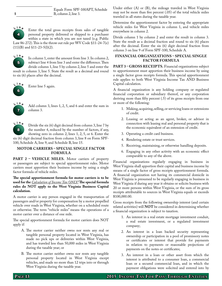Equals Form SPF-100APT, Schedule B, column 2, line 3.



\$

Enter the total gross receipts from sales of tangible personal property delivered or shipped to a purchaser within a state in which you are not taxed (e.g. Public Law 86-272).This is the throw out rule per WV Code §11-24-7(e) (11)(B) and §11-23-5(l)(2).



In column 1, enter the amount from line 3. In column 2, subtract line 4 from line 3 and enter the difference. Then divide column 1, line 5 by column 2, line 5 and enter the result in column 3, line 5. State the result as a decimal and round

to six (6) places after the decimal.



Enter line 5 again.



 **<sup>i</sup> <sup>n</sup> <sup>e</sup>** Add column 3, lines 1, 2, 5, and <sup>6</sup> and enter the sum in column 3.



Divide the six (6) digit decimal from column 3, line 7 by the number 4, reduced by the number of factors, if any, showing zero in column 2, lines 1, 2, 5, or 6. Enter the

six (6) digit decimal fraction from column 3, line 8 on Form SPF-100, Schedule A, line 9, and Schedule B, line 15.

#### **Motor Carriers – Special Single Factor Formula**

PART 2 - VEHICLE MILES. Motor carriers of property or passengers are subject to special apportionment rules. Motor carriers must apportion their business income by using a single factor formula of vehicle miles.

#### **The special apportionment formula for motor carriers is to be used for the** *Calculation of Income Tax ONLY!* **The special formula rules do NOT apply to the West Virginia Business Capital calculation.**

A motor carrier is any person engaged in the transportation of passengers and/or property for compensation by a motor propelled vehicle over roads in West Virginia, whether on a scheduled route or otherwise. The term "vehicle miles" means the operations of a motor carrier over a distance of one mile.

The special apportionment formula for motor carriers does NOT apply if:

- A. The motor carrier neither owns nor rents any real or tangible personal property located in West Virginia, has made no pick ups or deliveries within West Virginia, and has traveled less than 50,000 miles in West Virginia during the taxable year; or
- B. The motor carrier neither owns nor rents any tangible personal property located in West Virginia except vehicles, and made no more than 12 trips into or through West Virginia during the taxable year.

Under either (A) or (B), the mileage traveled in West Virginia may not be more than five percent (.05) of the total vehicle miles traveled in all states during the taxable year.

Determine the apportionment factor by entering the appropriate vehicle miles for West Virginia in column 1, and vehicle miles everywhere in column 2.

Divide column 1 by column 2 and enter the result in column 3. State the result as a decimal fraction and round to six (6) places after the decimal. Enter the six (6) digit decimal fraction from column 3 on line 9 of Form SPF-100, Schedule A.

#### **Financial Organizations – Special Single Factor Formula**

PART 3 - GROSS RECEIPTS. Financial organizations subject to apportionment must apportion their business income by using a single factor gross receipts formula. This special apportionment rule applies to both West Virginia Income Tax AND Business Capital calculation.

A financial organization is any holding company or regulated financial corporation or subsidiary thereof, or any corporation deriving more than fifty percent (.5) of its gross receipts from one or more of the following:

- 1. Making, acquiring, selling, or servicing loans or extensions of credit.
- 2. Leasing or acting as an agent, broker, or advisor in connection with leasing real and personal property that is the economic equivalent of an extension of credit.
- 3. Operating a credit card business.
- 4. Rendering estate or trust services.
- 5. Receiving, maintaining, or otherwise handling deposits.
- 6. Engaging in any other activity with an economic effect comparable to any of the above.

Financial organizations regularly engaging in business in West Virginia shall apportion their capital and business income by means of a single factor of gross receipts apportionment formula. A financial organization not having its commercial domicile in West Virginia is presumed to be regularly engaging in business in West Virginia if during any year it obtains or solicits business with 20 or more persons within West Virginia, or the sum of its gross receipts attributable to sources in West Virginia equals or exceeds \$100,000.00.

Gross receipts from the following ownership interest (and certain related activities) will **NOT** be considered in determining whether a financial organization is subject to taxation.

- 1. An interest in a real estate mortgage investment conduit, a real estate investment, or a regulated investment company;
- 2. An interest in a loan backed security representing ownership or participation in a pool of promissory notes or certificates or interest that provide for payments in relation to payments or reasonable projections of payments on the notes or certificates;
- 3. An interest in a loan or other asset from which the interest is attributed to a consumer loan, a commercial loan or a secured commercial loan, and in which the payment obligations were solicited and entered into by